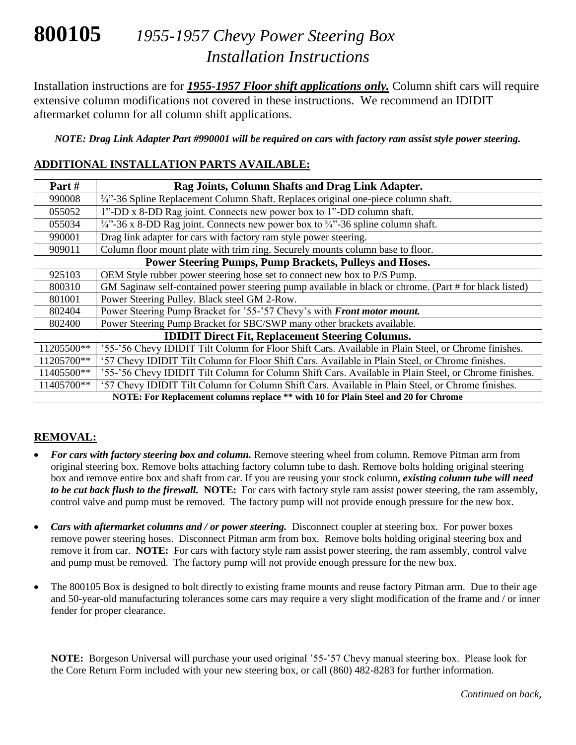# **800105** *1955-1957 Chevy Power Steering Box Installation Instructions*

Installation instructions are for *1955-1957 Floor shift applications only.* Column shift cars will require extensive column modifications not covered in these instructions. We recommend an IDIDIT aftermarket column for all column shift applications.

*NOTE: Drag Link Adapter Part #990001 will be required on cars with factory ram assist style power steering.*

#### **ADDITIONAL INSTALLATION PARTS AVAILABLE:**

| Part#                                                                              | Rag Joints, Column Shafts and Drag Link Adapter.                                                          |
|------------------------------------------------------------------------------------|-----------------------------------------------------------------------------------------------------------|
| 990008                                                                             | $\frac{3}{4}$ <sup>2</sup> -36 Spline Replacement Column Shaft. Replaces original one-piece column shaft. |
| 055052                                                                             | 1"-DD x 8-DD Rag joint. Connects new power box to 1"-DD column shaft.                                     |
| 055034                                                                             | $\frac{3}{4}$ . 36 x 8-DD Rag joint. Connects new power box to $\frac{3}{4}$ . 36 spline column shaft.    |
| 990001                                                                             | Drag link adapter for cars with factory ram style power steering.                                         |
| 909011                                                                             | Column floor mount plate with trim ring. Securely mounts column base to floor.                            |
| Power Steering Pumps, Pump Brackets, Pulleys and Hoses.                            |                                                                                                           |
| 925103                                                                             | OEM Style rubber power steering hose set to connect new box to P/S Pump.                                  |
| 800310                                                                             | GM Saginaw self-contained power steering pump available in black or chrome. (Part # for black listed)     |
| 801001                                                                             | Power Steering Pulley. Black steel GM 2-Row.                                                              |
| 802404                                                                             | Power Steering Pump Bracket for '55-'57 Chevy's with Front motor mount.                                   |
| 802400                                                                             | Power Steering Pump Bracket for SBC/SWP many other brackets available.                                    |
| <b>IDIDIT Direct Fit, Replacement Steering Columns.</b>                            |                                                                                                           |
| 11205500**                                                                         | '55-'56 Chevy IDIDIT Tilt Column for Floor Shift Cars. Available in Plain Steel, or Chrome finishes.      |
| 11205700**                                                                         | '57 Chevy IDIDIT Tilt Column for Floor Shift Cars. Available in Plain Steel, or Chrome finishes.          |
| 11405500**                                                                         | '55-'56 Chevy IDIDIT Tilt Column for Column Shift Cars. Available in Plain Steel, or Chrome finishes.     |
| 11405700**                                                                         | '57 Chevy IDIDIT Tilt Column for Column Shift Cars. Available in Plain Steel, or Chrome finishes.         |
| NOTE: For Replacement columns replace ** with 10 for Plain Steel and 20 for Chrome |                                                                                                           |

#### **REMOVAL:**

- *For cars with factory steering box and column.* Remove steering wheel from column. Remove Pitman arm from original steering box. Remove bolts attaching factory column tube to dash. Remove bolts holding original steering box and remove entire box and shaft from car. If you are reusing your stock column, *existing column tube will need to be cut back flush to the firewall.* **NOTE:** For cars with factory style ram assist power steering, the ram assembly, control valve and pump must be removed. The factory pump will not provide enough pressure for the new box.
- *Cars with aftermarket columns and / or power steering.* Disconnect coupler at steering box. For power boxes remove power steering hoses. Disconnect Pitman arm from box. Remove bolts holding original steering box and remove it from car. **NOTE:** For cars with factory style ram assist power steering, the ram assembly, control valve and pump must be removed. The factory pump will not provide enough pressure for the new box.
- The 800105 Box is designed to bolt directly to existing frame mounts and reuse factory Pitman arm. Due to their age and 50-year-old manufacturing tolerances some cars may require a very slight modification of the frame and / or inner fender for proper clearance.

**NOTE:** Borgeson Universal will purchase your used original '55-'57 Chevy manual steering box. Please look for the Core Return Form included with your new steering box, or call (860) 482-8283 for further information.